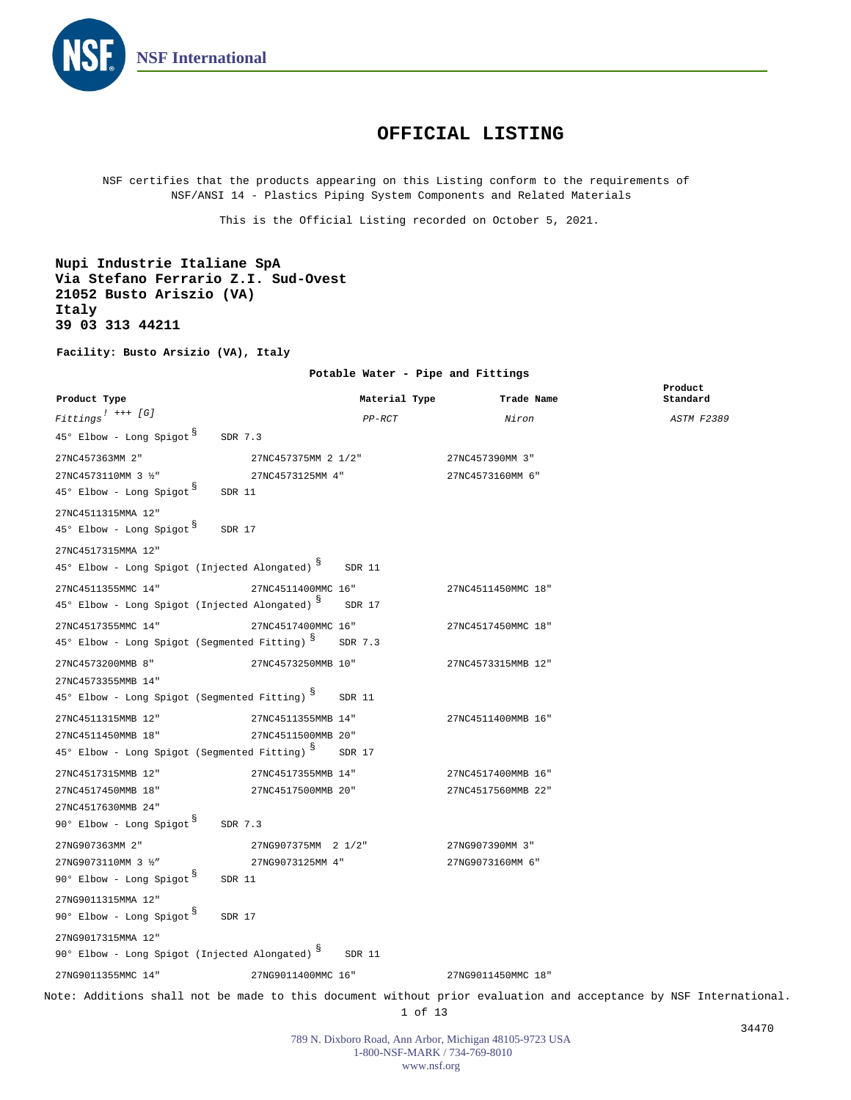

## **OFFICIAL LISTING**

NSF certifies that the products appearing on this Listing conform to the requirements of NSF/ANSI 14 - Plastics Piping System Components and Related Materials

This is the Official Listing recorded on October 5, 2021.

**Nupi Industrie Italiane SpA Via Stefano Ferrario Z.I. Sud-Ovest 21052 Busto Ariszio (VA) Italy 39 03 313 44211**

**Facility: Busto Arsizio (VA), Italy**

**Potable Water - Pipe and Fittings**

| Product Type                                                                           |                     | Material Type | Trade Name         | Product<br>Standard                                                                                              |
|----------------------------------------------------------------------------------------|---------------------|---------------|--------------------|------------------------------------------------------------------------------------------------------------------|
| $\begin{tabular}{ll} \bf \emph{Fittings} & \textit{++} & \textit{[G]}\\ \end{tabular}$ |                     | $PP-RCT$      | Niron              | <b>ASTM F2389</b>                                                                                                |
| 45° Elbow - Long Spigot <sup>3</sup><br>SDR 7.3                                        |                     |               |                    |                                                                                                                  |
| 27NC457363MM 2"                                                                        | 27NC457375MM 2 1/2" |               | 27NC457390MM 3"    |                                                                                                                  |
| 27NC4573110MM 3 1/2"                                                                   | 27NC4573125MM 4"    |               | 27NC4573160MM 6"   |                                                                                                                  |
| $45^{\circ}$ Elbow - Long Spigot $^{\circ}$<br>SDR 11                                  |                     |               |                    |                                                                                                                  |
| 27NC4511315MMA 12"                                                                     |                     |               |                    |                                                                                                                  |
| 45° Elbow - Long Spigot <sup>§</sup><br>SDR 17                                         |                     |               |                    |                                                                                                                  |
| 27NC4517315MMA 12"                                                                     |                     |               |                    |                                                                                                                  |
| 45° Elbow - Long Spigot (Injected Alongated) 8                                         |                     | SDR 11        |                    |                                                                                                                  |
| 27NC4511355MMC 14"                                                                     | 27NC4511400MMC 16"  |               | 27NC4511450MMC 18" |                                                                                                                  |
| 45° Elbow - Long Spigot (Injected Alongated) 8                                         |                     | SDR 17        |                    |                                                                                                                  |
| 27NC4517355MMC 14"                                                                     | 27NC4517400MMC 16"  |               | 27NC4517450MMC 18" |                                                                                                                  |
| 45° Elbow - Long Spigot (Segmented Fitting) S                                          |                     | SDR 7.3       |                    |                                                                                                                  |
| 27NC4573200MMB 8"                                                                      | 27NC4573250MMB 10"  |               | 27NC4573315MMB 12" |                                                                                                                  |
| 27NC4573355MMB 14"                                                                     |                     |               |                    |                                                                                                                  |
| 45° Elbow - Long Spigot (Segmented Fitting) S                                          |                     | SDR 11        |                    |                                                                                                                  |
| 27NC4511315MMB 12"                                                                     | 27NC4511355MMB 14"  |               | 27NC4511400MMB 16" |                                                                                                                  |
| 27NC4511450MMB 18"                                                                     | 27NC4511500MMB 20"  |               |                    |                                                                                                                  |
| 45° Elbow - Long Spigot (Segmented Fitting) 8                                          |                     | SDR 17        |                    |                                                                                                                  |
| 27NC4517315MMB 12"                                                                     | 27NC4517355MMB 14"  |               | 27NC4517400MMB 16" |                                                                                                                  |
| 27NC4517450MMB 18"                                                                     | 27NC4517500MMB 20"  |               | 27NC4517560MMB 22" |                                                                                                                  |
| 27NC4517630MMB 24"                                                                     |                     |               |                    |                                                                                                                  |
| 90° Elbow - Long Spigot SDR 7.3                                                        |                     |               |                    |                                                                                                                  |
| 27NG907363MM 2"                                                                        | 27NG907375MM 2 1/2" |               | 27NG907390MM 3"    |                                                                                                                  |
| 27NG9073110MM 3 1/2"                                                                   | 27NG9073125MM 4"    |               | 27NG9073160MM 6"   |                                                                                                                  |
| 90° Elbow - Long Spigot 8<br>SDR 11                                                    |                     |               |                    |                                                                                                                  |
| 27NG9011315MMA 12"                                                                     |                     |               |                    |                                                                                                                  |
| 90° Elbow - Long Spigot 8<br>SDR 17                                                    |                     |               |                    |                                                                                                                  |
| 27NG9017315MMA 12"                                                                     |                     |               |                    |                                                                                                                  |
| 90° Elbow - Long Spigot (Injected Alongated) S                                         |                     | SDR 11        |                    |                                                                                                                  |
| 27NG9011355MMC 14"                                                                     | 27NG9011400MMC 16"  |               | 27NG9011450MMC 18" |                                                                                                                  |
|                                                                                        |                     |               |                    | Note: Additions shall not be made to this document without prior evaluation and acceptance by NSF International. |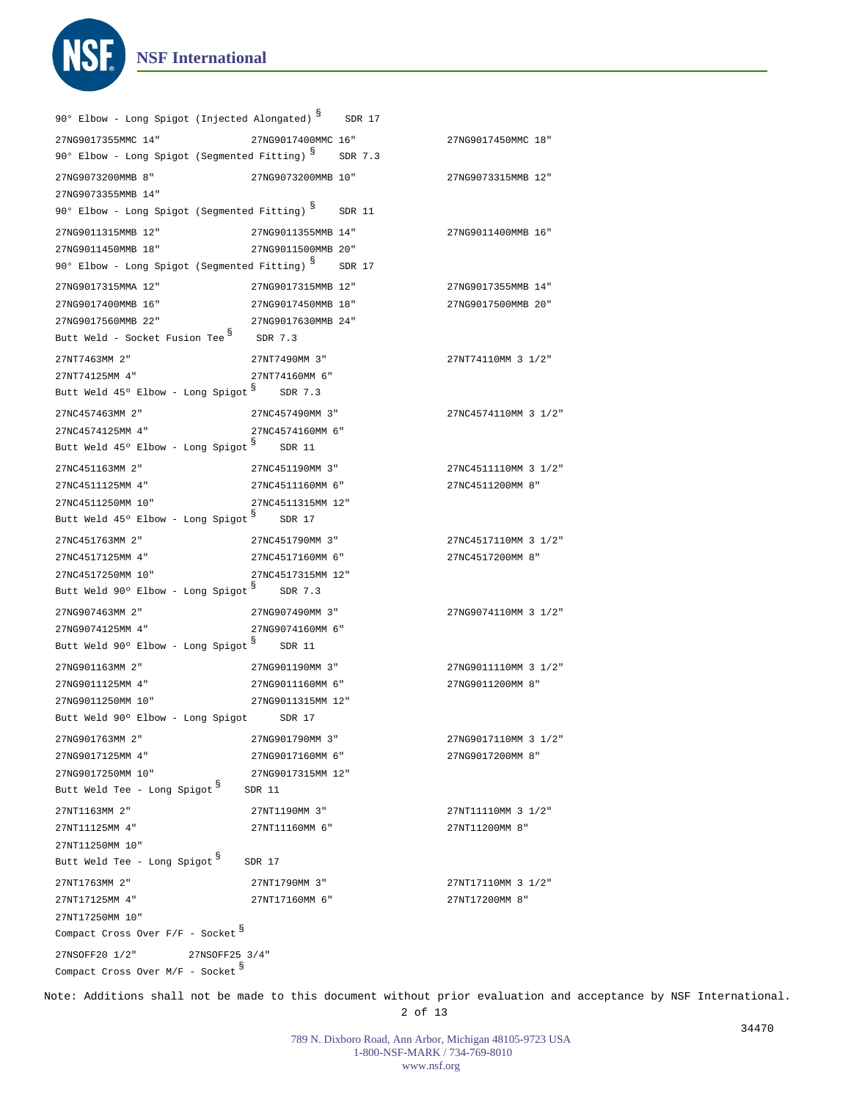```
NSF International
```
**NS** 

| 90° Elbow - Long Spigot (Injected Alongated) S SDR 17           |                    |                                          |  |  |
|-----------------------------------------------------------------|--------------------|------------------------------------------|--|--|
| 27NG9017355MMC 14"                                              | 27NG9017400MMC 16" | 27NG9017450MMC 18"                       |  |  |
| 90° Elbow - Long Spigot (Segmented Fitting) S SDR 7.3           |                    |                                          |  |  |
| 27NG9073200MMB 8"                                               | 27NG9073200MMB 10" | 27NG9073315MMB 12"                       |  |  |
| 27NG9073355MMB 14"                                              |                    |                                          |  |  |
| 90° Elbow - Long Spigot (Segmented Fitting) 8                   | SDR 11             |                                          |  |  |
| 27NG9011315MMB 12"                                              | 27NG9011355MMB 14" | 27NG9011400MMB 16"                       |  |  |
| 27NG9011450MMB 18"                                              | 27NG9011500MMB 20" |                                          |  |  |
| 90° Elbow - Long Spigot (Segmented Fitting) S SDR 17            |                    |                                          |  |  |
|                                                                 |                    |                                          |  |  |
| 27NG9017315MMA 12"                                              | 27NG9017315MMB 12" | 27NG9017355MMB 14"                       |  |  |
| 27NG9017400MMB 16"                                              | 27NG9017450MMB 18" | 27NG9017500MMB 20"                       |  |  |
| 27NG9017560MMB 22"<br>Butt Weld - Socket Fusion Tee $8$ SDR 7.3 | 27NG9017630MMB 24" |                                          |  |  |
|                                                                 |                    |                                          |  |  |
| 27NT7463MM 2"                                                   | 27NT7490MM 3"      | 27NT74110MM 3 1/2"                       |  |  |
| 27NT74125MM 4"                                                  | 27NT74160MM 6"     |                                          |  |  |
| Butt Weld 45° Elbow - Long Spigot 8 SDR 7.3                     |                    |                                          |  |  |
| 27NC457463MM 2"                                                 | 27NC457490MM 3"    | 27NC4574110MM 3 1/2"                     |  |  |
| 27NC4574125MM 4"                                                | 27NC4574160MM 6"   |                                          |  |  |
| Butt Weld $45^{\circ}$ Elbow - Long Spigot $\delta$ SDR 11      |                    |                                          |  |  |
| 27NC451163MM 2"                                                 | 27NC451190MM 3"    | 27NC4511110MM 3 1/2"                     |  |  |
| 27NC4511125MM 4"                                                | 27NC4511160MM 6"   | 27NC4511200MM 8"                         |  |  |
| 27NC4511250MM 10"                                               | 27NC4511315MM 12"  |                                          |  |  |
| Butt Weld $45^{\circ}$ Elbow - Long Spigot $8^{\circ}$ SDR 17   |                    |                                          |  |  |
| 27NC451763MM 2"                                                 | 27NC451790MM 3"    | 27NC4517110MM 3 1/2"                     |  |  |
| 27NC4517125MM 4"                                                | 27NC4517160MM 6"   | 27NC4517200MM 8"                         |  |  |
| 27NC4517250MM 10"                                               | 27NC4517315MM 12"  |                                          |  |  |
| Butt Weld 90° Elbow - Long Spigot 8 SDR 7.3                     |                    |                                          |  |  |
| 27NG907463MM 2"                                                 | 27NG907490MM 3"    | 27NG9074110MM 3 1/2"                     |  |  |
| 27NG9074125MM 4"                                                | 27NG9074160MM 6"   |                                          |  |  |
| Butt Weld 90° Elbow - Long Spigot 8 SDR 11                      |                    |                                          |  |  |
| 27NG901163MM 2"                                                 | 27NG901190MM 3"    | 27NG9011110MM 3 1/2"                     |  |  |
| 27NG9011125MM 4"                                                | 27NG9011160MM 6"   | 27NG9011200MM 8"                         |  |  |
| 27NG9011250MM 10"                                               | 27NG9011315MM 12"  |                                          |  |  |
| Butt Weld 90° Elbow - Long Spigot SDR 17                        |                    |                                          |  |  |
| 27NG901763MM 2"                                                 | 27NG901790MM 3"    |                                          |  |  |
| 27NG9017125MM 4"                                                | 27NG9017160MM 6"   | 27NG9017110MM 3 1/2"<br>27NG9017200MM 8" |  |  |
| 27NG9017250MM 10"                                               | 27NG9017315MM 12"  |                                          |  |  |
| Butt Weld Tee - Long Spigot 8                                   | SDR 11             |                                          |  |  |
|                                                                 |                    |                                          |  |  |
| 27NT1163MM 2"                                                   | 27NT1190MM 3"      | 27NT11110MM 3 1/2"                       |  |  |
| 27NT11125MM 4"                                                  | 27NT11160MM 6"     | 27NT11200MM 8"                           |  |  |
| 27NT11250MM 10"<br>Butt Weld Tee - Long Spigot 8                | SDR 17             |                                          |  |  |
|                                                                 |                    |                                          |  |  |
| 27NT1763MM 2"                                                   | 27NT1790MM 3"      | 27NT17110MM 3 1/2"                       |  |  |
| 27NT17125MM 4"                                                  | 27NT17160MM 6"     | 27NT17200MM 8"                           |  |  |
| 27NT17250MM 10"                                                 |                    |                                          |  |  |
| Compact Cross Over $F/F -$ Socket $S$                           |                    |                                          |  |  |
| 27NSOFF20 1/2"<br>27NSOFF25 3/4"                                |                    |                                          |  |  |
| Compact Cross Over $M/F$ - Socket $S$                           |                    |                                          |  |  |

Note: Additions shall not be made to this document without prior evaluation and acceptance by NSF International. 2 of 13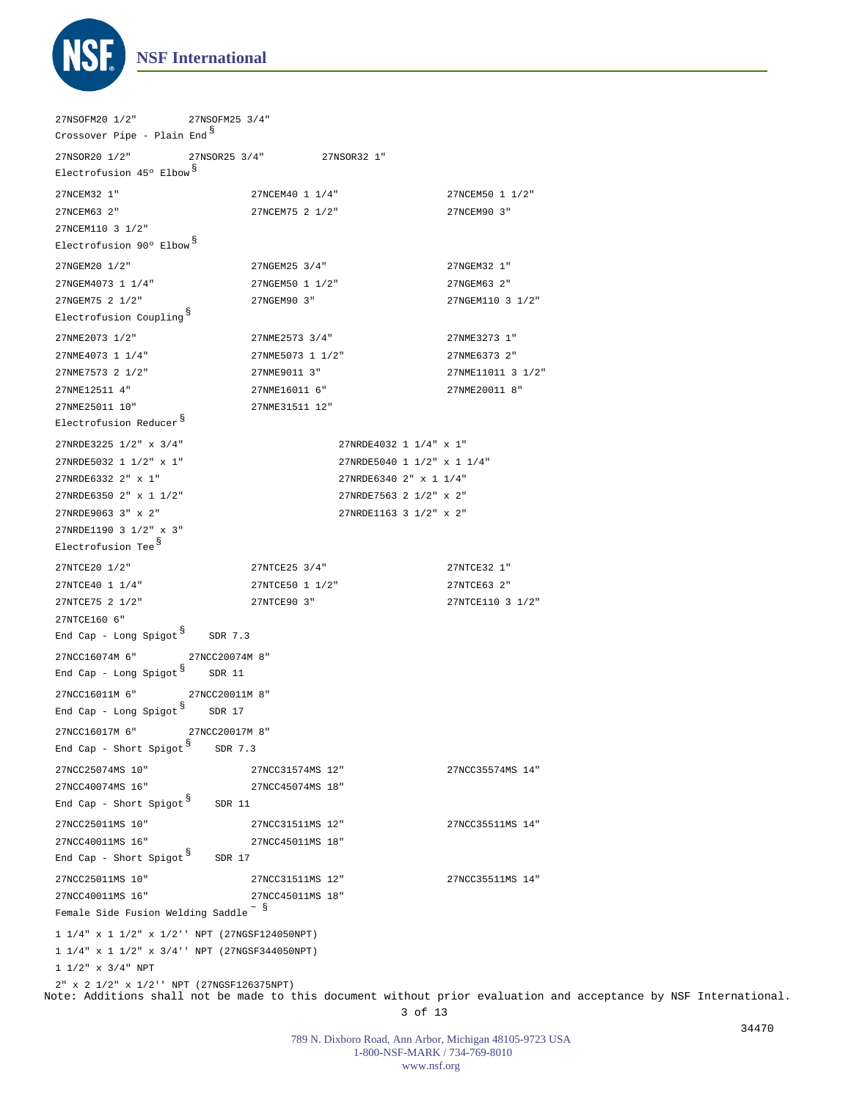

1 1/4" x 1 1/2" x 1/2'' NPT (27NGSF124050NPT) 1 1/4" x 1 1/2" x 3/4'' NPT (27NGSF344050NPT) 1 1/2" x 3/4" NPT 2" x 2 1/2" x 1/2'' NPT (27NGSF126375NPT) 27NSOFM20 1/2" 27NSOFM25 3/4" 27NSOR20 1/2" 27NSOR25 3/4" 27NSOR32 1" 27NCC16074M 6" 27NCC20074M 8" 27NCC16011M 6" 27NCC20011M 8" 27NCC16017M 6" 27NCC20017M 8" 27NCEM32 1" 27NCEM40 1 1/4" 27NCEM50 1 1/2" 27NCEM63 2" 27NCEM75 2 1/2" 27NCEM90 3" 27NCEM110 3 1/2" 27NGEM20 1/2" 27NGEM25 3/4" 27NGEM32 1" 27NGEM4073 1 1/4" 27NGEM50 1 1/2" 27NGEM63 2" 27NGEM75 2 1/2" 27NGEM90 3" 27NGEM110 3 1/2" 27NME2073 1/2" 27NME2573 3/4" 27NME3273 1" 27NME4073 1 1/4" 27NME5073 1 1/2" 27NME6373 2" 27NME7573 2 1/2" 27NME9011 3" 27NME11011 3 1/2" 27NME12511 4" 27NME16011 6" 27NME20011 8" 27NME25011 10" 27NME31511 12" 27NTCE20 1/2" 27NTCE25 3/4" 27NTCE32 1" 27NTCE40 1 1/4" 27NTCE50 1 1/2" 27NTCE63 2" 27NTCE75 2 1/2" 27NTCE90 3" 27NTCE110 3 1/2" 27NTCE160 6" 27NCC25074MS 10" 27NCC31574MS 12" 27NCC35574MS 14" 27NCC40074MS 16" 27NCC45074MS 18" 27NCC25011MS 10" 27NCC31511MS 12" 27NCC35511MS 14" 27NCC40011MS 16" 27NCC45011MS 18" 27NCC25011MS 10" 27NCC31511MS 12" 27NCC35511MS 14" 27NCC40011MS 16" 27NCC45011MS 18" 27NRDE3225 1/2" x 3/4" 27NRDE4032 1 1/4" x 1" 27NRDE5032 1 1/2" x 1" 27NRDE5040 1 1/2" x 1 1/4" 27NRDE6332 2" x 1" 27NRDE6340 2" x 1 1/4" 27NRDE6350 2" x 1 1/2" 27NRDE7563 2 1/2" x 2" 27NRDE9063 3" x 2" 27NRDE1163 3 1/2" x 2" 27NRDE1190 3 1/2" x 3" Crossover Pipe - Plain End<sup>§</sup> Electrofusion 45º Elbow § Electrofusion 90º Elbow § Electrofusion Coupling § Electrofusion Reducer § Electrofusion Tee § End Cap - Long Spigot  $^{\$}$  SDR 7.3 End Cap - Long Spigot  $^{\S}$  SDR 11 End Cap - Long Spigot  $^{\mathbb{S}}$  SDR 17 End Cap - Short Spigot  $^{\S}$  SDR 7.3 End Cap - Short Spigot  $^{\$}$  SDR 11 End Cap - Short Spigot  $^{\$}$  SDR 17 Female Side Fusion Welding Saddle $\degree$   $^{\text{\textregistered}}$ 

Note: Additions shall not be made to this document without prior evaluation and acceptance by NSF International. 3 of 13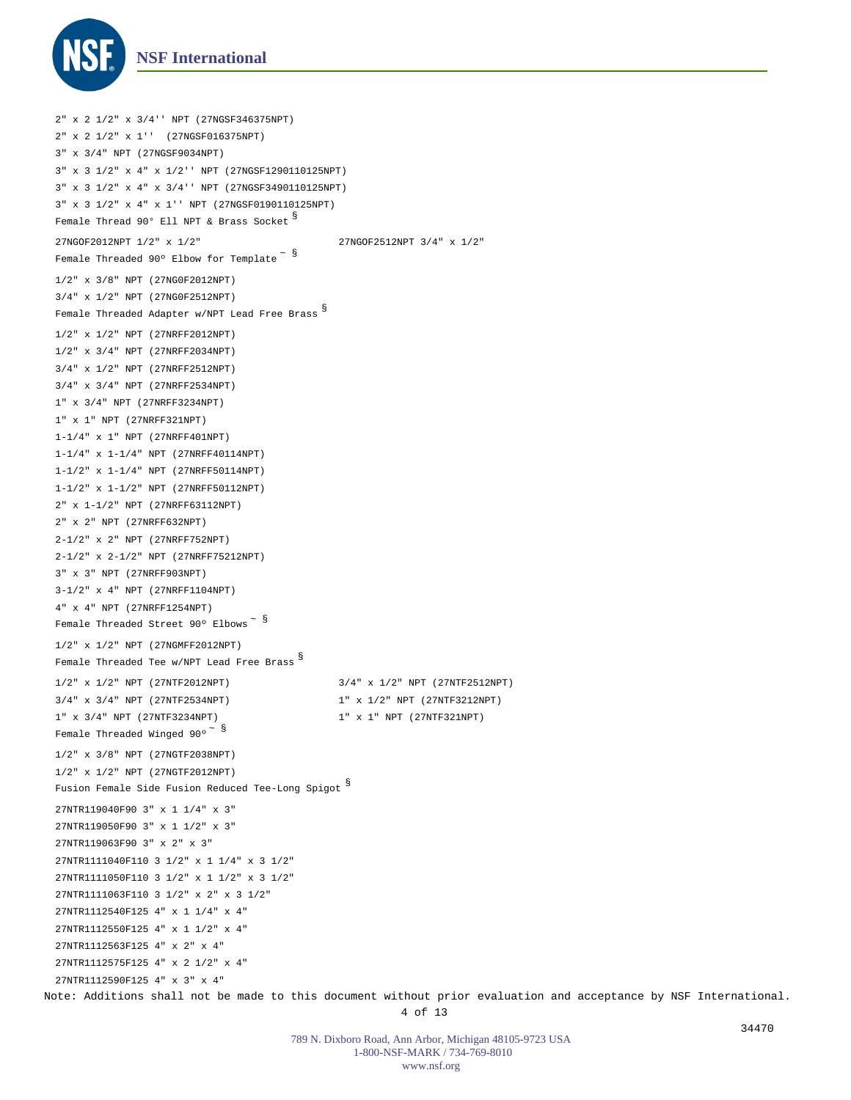

```
Note: Additions shall not be made to this document without prior evaluation and acceptance by NSF International.
  2" x 2 1/2" x 3/4'' NPT (27NGSF346375NPT)
  2" x 2 1/2" x 1'' (27NGSF016375NPT)
  3" x 3/4" NPT (27NGSF9034NPT)
  3" x 3 1/2" x 4" x 1/2'' NPT (27NGSF1290110125NPT)
  3" x 3 1/2" x 4" x 3/4'' NPT (27NGSF3490110125NPT)
  3" x 3 1/2" x 4" x 1'' NPT (27NGSF0190110125NPT)
  1/2" x 3/8" NPT (27NG0F2012NPT)
  3/4" x 1/2" NPT (27NG0F2512NPT)
  1/2" x 1/2" NPT (27NRFF2012NPT)
  1/2" x 3/4" NPT (27NRFF2034NPT)
  3/4" x 1/2" NPT (27NRFF2512NPT)
  3/4" x 3/4" NPT (27NRFF2534NPT)
  1" x 3/4" NPT (27NRFF3234NPT)
  1" x 1" NPT (27NRFF321NPT)
 1-1/4" x 1" NPT (27NRFF401NPT)
  1-1/4" x 1-1/4" NPT (27NRFF40114NPT)
 1-1/2" x 1-1/4" NPT (27NRFF50114NPT)
  1-1/2" x 1-1/2" NPT (27NRFF50112NPT)
  2" x 1-1/2" NPT (27NRFF63112NPT)
  2" x 2" NPT (27NRFF632NPT)
  2-1/2" x 2" NPT (27NRFF752NPT)
  2-1/2" x 2-1/2" NPT (27NRFF75212NPT)
  3" x 3" NPT (27NRFF903NPT)
  3-1/2" x 4" NPT (27NRFF1104NPT)
 4" x 4" NPT (27NRFF1254NPT)
  1/2" x 1/2" NPT (27NGMFF2012NPT)
  1/2" x 3/8" NPT (27NGTF2038NPT)
  1/2" x 1/2" NPT (27NGTF2012NPT)
  27NTR119040F90 3" x 1 1/4" x 3"
 27NTR119050F90 3" x 1 1/2" x 3"
  27NTR119063F90 3" x 2" x 3"
  27NTR1111040F110 3 1/2" x 1 1/4" x 3 1/2"
  27NTR1111050F110 3 1/2" x 1 1/2" x 3 1/2"
  27NTR1111063F110 3 1/2" x 2" x 3 1/2"
  27NTR1112540F125 4" x 1 1/4" x 4"
  27NTR1112550F125 4" x 1 1/2" x 4"
 27NTR1112563F125 4" x 2" x 4"
  27NTR1112575F125 4" x 2 1/2" x 4"
 27NTR1112590F125 4" x 3" x 4"
 27NGOF2012NPT 1/2" x 1/2" 27NGOF2512NPT 3/4" x 1/2"
 1/2" x 1/2" NPT (27NTF2012NPT) 3/4" x 1/2" NPT (27NTF2512NPT)
 3/4" x 3/4" NPT (27NTF2534NPT) 1" x 1/2" NPT (27NTF3212NPT)
 1" \hspace{.1cm} \text{x} \hspace{.1cm} 3/4" \hspace{.1cm} \text{NPT} \hspace{.1cm} (27\text{NTF}3234\text{NPT})Female Thread 90° Ell NPT & Brass Socket ^{\mathbb{S}}Female Threaded 90° Elbow for Template \tilde{\phantom{a}} \stackrel{\$}{{\small\rm{s}}}Female Threaded Adapter w/NPT Lead Free Brass
§ 
  Female Threaded Street 90° Elbows \tilde{\text{s}}Female Threaded Tee w/NPT Lead Free Brass
§ 
  Female Threaded Winged 90° ^{\circ} ^{\circ}Fusion Female Side Fusion Reduced Tee-Long Spigot
§
```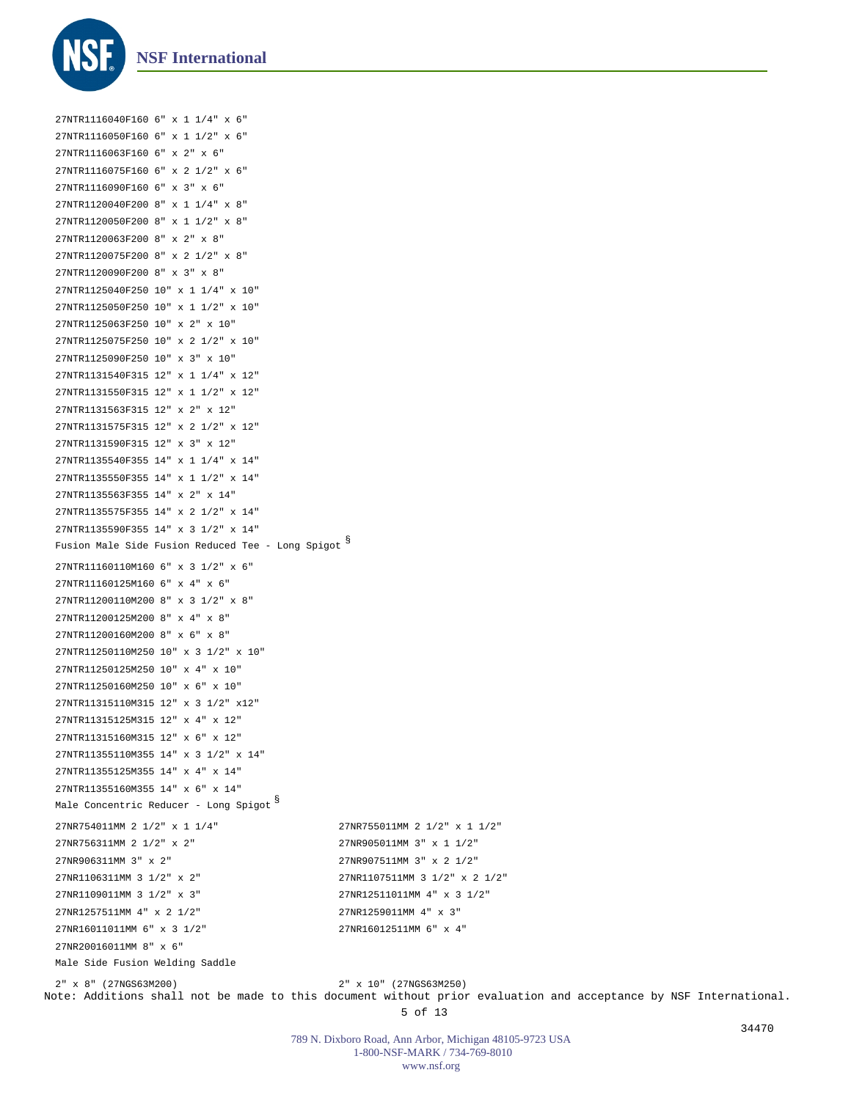

27NTR1116040F160 6" x 1 1/4" x 6" 27NTR1116050F160 6" x 1 1/2" x 6" 27NTR1116063F160 6" x 2" x 6" 27NTR1116075F160 6" x 2 1/2" x 6" 27NTR1116090F160 6" x 3" x 6" 27NTR1120040F200 8" x 1 1/4" x 8" 27NTR1120050F200 8" x 1 1/2" x 8" 27NTR1120063F200 8" x 2" x 8" 27NTR1120075F200 8" x 2 1/2" x 8" 27NTR1120090F200 8" x 3" x 8" 27NTR1125040F250 10" x 1 1/4" x 10" 27NTR1125050F250 10" x 1 1/2" x 10" 27NTR1125063F250 10" x 2" x 10" 27NTR1125075F250 10" x 2 1/2" x 10" 27NTR1125090F250 10" x 3" x 10" 27NTR1131540F315 12" x 1 1/4" x 12" 27NTR1131550F315 12" x 1 1/2" x 12" 27NTR1131563F315 12" x 2" x 12" 27NTR1131575F315 12" x 2 1/2" x 12" 27NTR1131590F315 12" x 3" x 12" 27NTR1135540F355 14" x 1 1/4" x 14" 27NTR1135550F355 14" x 1 1/2" x 14" 27NTR1135563F355 14" x 2" x 14" 27NTR1135575F355 14" x 2 1/2" x 14" 27NTR1135590F355 14" x 3 1/2" x 14" 27NTR11160110M160 6" x 3 1/2" x 6" 27NTR11160125M160 6" x 4" x 6" 27NTR11200110M200 8" x 3 1/2" x 8" 27NTR11200125M200 8" x 4" x 8" 27NTR11200160M200 8" x 6" x 8" 27NTR11250110M250 10" x 3 1/2" x 10" 27NTR11250125M250 10" x 4" x 10" 27NTR11250160M250 10" x 6" x 10" 27NTR11315110M315 12" x 3 1/2" x12" 27NTR11315125M315 12" x 4" x 12" 27NTR11315160M315 12" x 6" x 12" 27NTR11355110M355 14" x 3 1/2" x 14" 27NTR11355125M355 14" x 4" x 14" 27NTR11355160M355 14" x 6" x 14" 27NR754011MM 2 1/2" x 1 1/4" 27NR755011MM 2 1/2" x 1 1/2" 27NR756311MM 2 1/2" x 2" 27NR905011MM 3" x 1 1/2" 27NR906311MM 3" x 2" 27NR907511MM 3" x 2 1/2" 27NR1106311MM 3 1/2" x 2" 27NR1107511MM 3 1/2" x 2 1/2" 27NR1109011MM 3 1/2" x 3" 27NR12511011MM 4" x 3 1/2" 27NR1257511MM 4" x 2 1/2" 27NR1259011MM 4" x 3" 27NR16011011MM 6" x 3 1/2" 27NR16012511MM 6" x 4" 27NR20016011MM 8" x 6" Fusion Male Side Fusion Reduced Tee - Long Spigot § Male Concentric Reducer - Long Spigot § Male Side Fusion Welding Saddle

Note: Additions shall not be made to this document without prior evaluation and acceptance by NSF International. 5 of 13 2" x 8" (27NGS63M200) 2" x 10" (27NGS63M250)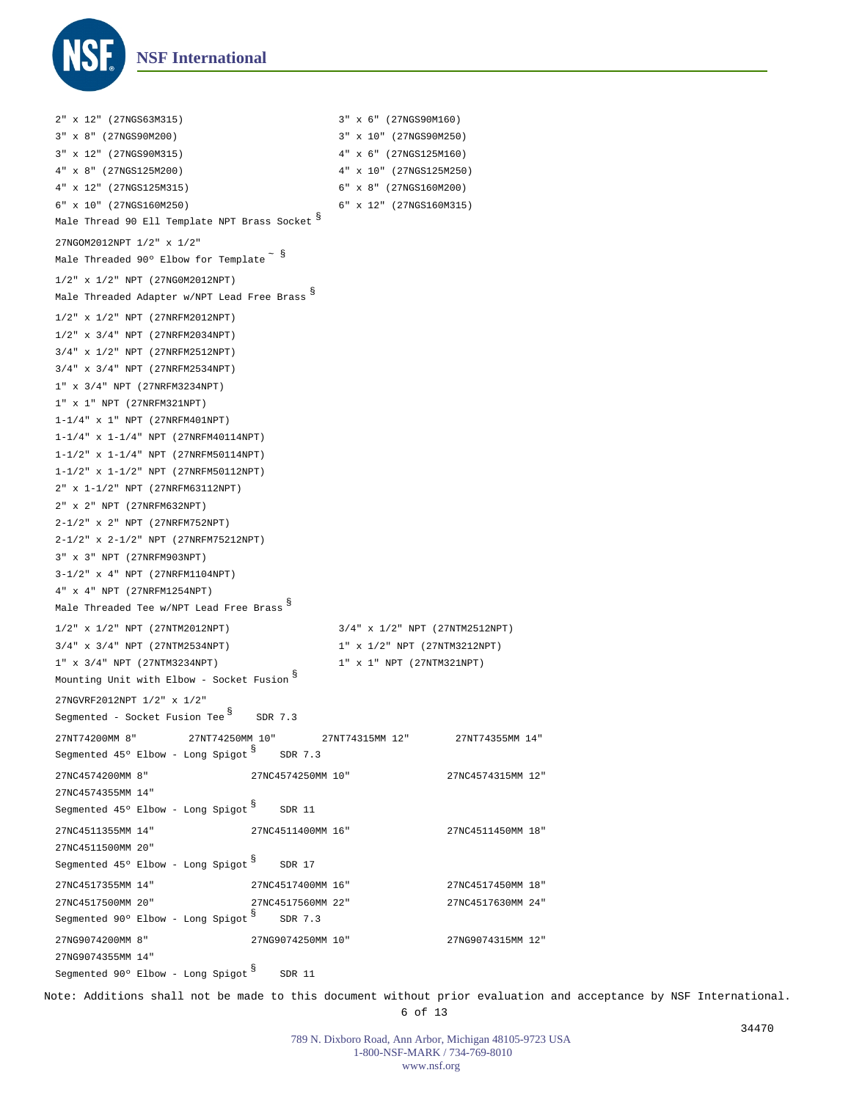

1/2" x 1/2" NPT (27NG0M2012NPT) 1/2" x 1/2" NPT (27NRFM2012NPT) 1/2" x 3/4" NPT (27NRFM2034NPT) 3/4" x 1/2" NPT (27NRFM2512NPT) 3/4" x 3/4" NPT (27NRFM2534NPT) 1" x 3/4" NPT (27NRFM3234NPT) 1" x 1" NPT (27NRFM321NPT) 1-1/4" x 1" NPT (27NRFM401NPT) 1-1/4" x 1-1/4" NPT (27NRFM40114NPT) 1-1/2" x 1-1/4" NPT (27NRFM50114NPT) 1-1/2" x 1-1/2" NPT (27NRFM50112NPT) 2" x 1-1/2" NPT (27NRFM63112NPT) 2" x 2" NPT (27NRFM632NPT) 2-1/2" x 2" NPT (27NRFM752NPT) 2-1/2" x 2-1/2" NPT (27NRFM75212NPT) 3" x 3" NPT (27NRFM903NPT) 3-1/2" x 4" NPT (27NRFM1104NPT) 4" x 4" NPT (27NRFM1254NPT) 27NT74200MM 8" 27NT74250MM 10" 27NT74315MM 12" 27NT74355MM 14" 27NC4574200MM 8" 27NC4574250MM 10" 27NC4574315MM 12" 27NC4574355MM 14" 27NC4511355MM 14" 27NC4511400MM 16" 27NC4511450MM 18" 27NC4511500MM 20" 27NC4517355MM 14" 27NC4517400MM 16" 27NC4517450MM 18" 27NC4517500MM 20" 27NC4517560MM 22" 27NC4517630MM 24" 27NG9074200MM 8" 27NG9074250MM 10" 27NG9074315MM 12" 27NG9074355MM 14" 2" x 12" (27NGS63M315) 3" x 6" (27NGS90M160) 3" x 8" (27NGS90M200) 3" x 10" (27NGS90M250) 3" x 12" (27NGS90M315) 4" x 6" (27NGS125M160) 4" x 8" (27NGS125M200) 4" x 10" (27NGS125M250) 4" x 12" (27NGS125M315) 6" x 8" (27NGS160M200) 6" x 10" (27NGS160M250) 6" x 12" (27NGS160M315) 27NGOM2012NPT 1/2" x 1/2" 1/2" x 1/2" NPT (27NTM2012NPT) 3/4" x 1/2" NPT (27NTM2512NPT) 3/4" x 3/4" NPT (27NTM2534NPT) 1" x 1/2" NPT (27NTM3212NPT) 1" x 3/4" NPT (27NTM3234NPT) 1" x 1" NPT (27NTM321NPT) 27NGVRF2012NPT 1/2" x 1/2" Male Thread 90 Ell Template NPT Brass Socket § Male Threaded 90° Elbow for Template  $\tilde{\phantom{a}}$   $\tilde{\phantom{a}}$ Male Threaded Adapter w/NPT Lead Free Brass § Male Threaded Tee w/NPT Lead Free Brass § Mounting Unit with Elbow - Socket Fusion  $^\mathbb{S}$ Segmented – Socket Fusion Tee  $^{\$}$  SDR 7.3 Segmented 45° Elbow - Long Spigot SDR 7.3 Segmented 45° Elbow - Long Spigot SNR 11 Segmented 45° Elbow - Long Spigot SNR 17 Segmented 90° Elbow - Long Spigot SDR 7.3 Segmented 90° Elbow - Long Spigot SNR 11

Note: Additions shall not be made to this document without prior evaluation and acceptance by NSF International. 6 of 13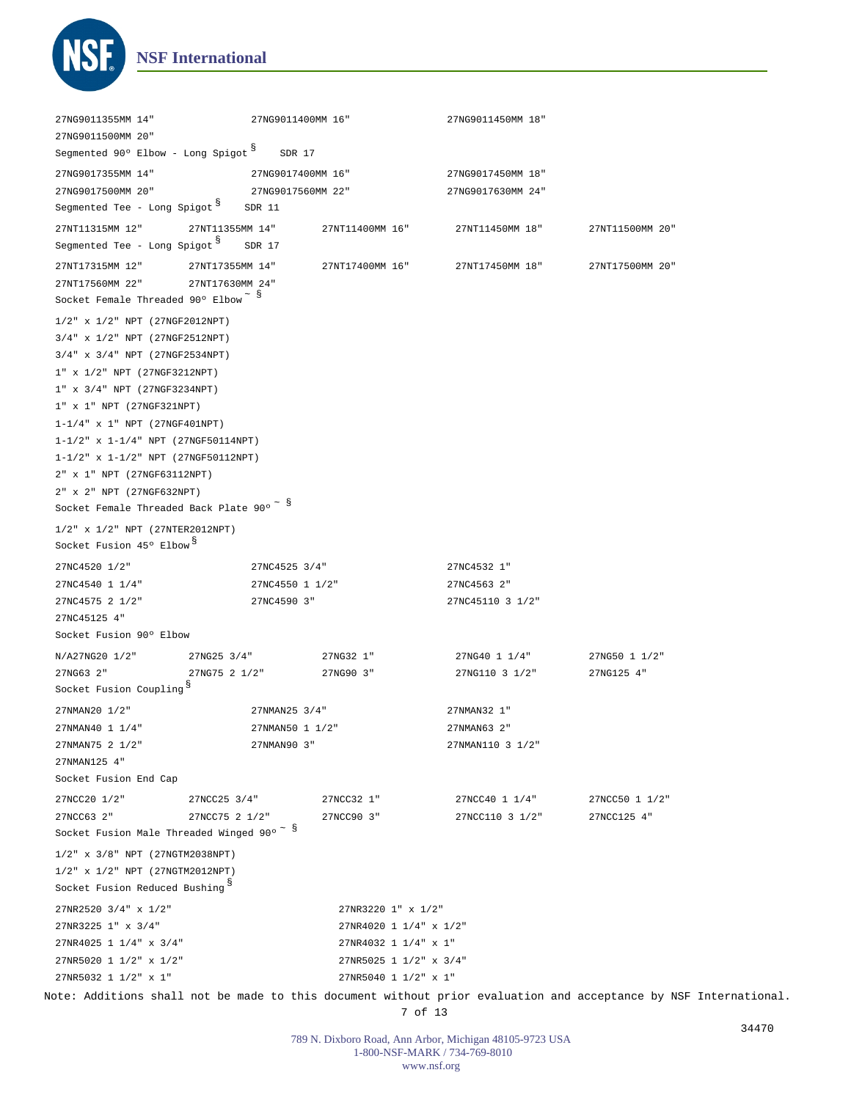

| 27NG9011355MM 14"                                                             | 27NG9011400MM 16" |                        | 27NG9011450MM 18" |                                                                                                                  |  |
|-------------------------------------------------------------------------------|-------------------|------------------------|-------------------|------------------------------------------------------------------------------------------------------------------|--|
| 27NG9011500MM 20"                                                             |                   |                        |                   |                                                                                                                  |  |
| Segmented 90° Elbow - Long Spigot S                                           | SDR 17            |                        |                   |                                                                                                                  |  |
| 27NG9017355MM 14"                                                             | 27NG9017400MM 16" |                        | 27NG9017450MM 18" |                                                                                                                  |  |
| 27NG9017500MM 20"                                                             | 27NG9017560MM 22" |                        | 27NG9017630MM 24" |                                                                                                                  |  |
| Segmented Tee - Long Spigot S                                                 | SDR 11            |                        |                   |                                                                                                                  |  |
|                                                                               |                   |                        |                   |                                                                                                                  |  |
| 27NT11315MM 12"<br>Segmented Tee - Long Spigot SDR 17                         | 27NT11355MM 14"   | 27NT11400MM 16"        | 27NT11450MM 18"   | 27NT11500MM 20"                                                                                                  |  |
|                                                                               |                   |                        |                   |                                                                                                                  |  |
| 27NT17315MM 12"                                                               | 27NT17355MM 14"   | 27NT17400MM 16"        | 27NT17450MM 18"   | 27NT17500MM 20"                                                                                                  |  |
| 27NT17560MM 22"                                                               | 27NT17630MM 24"   |                        |                   |                                                                                                                  |  |
| Socket Female Threaded 90° Elbow <sup>~ §</sup>                               |                   |                        |                   |                                                                                                                  |  |
| 1/2" x 1/2" NPT (27NGF2012NPT)                                                |                   |                        |                   |                                                                                                                  |  |
| 3/4" x 1/2" NPT (27NGF2512NPT)                                                |                   |                        |                   |                                                                                                                  |  |
| 3/4" x 3/4" NPT (27NGF2534NPT)                                                |                   |                        |                   |                                                                                                                  |  |
| 1" x 1/2" NPT (27NGF3212NPT)                                                  |                   |                        |                   |                                                                                                                  |  |
| 1" x 3/4" NPT (27NGF3234NPT)                                                  |                   |                        |                   |                                                                                                                  |  |
| 1" x 1" NPT (27NGF321NPT)                                                     |                   |                        |                   |                                                                                                                  |  |
| $1 - 1/4$ $x$ 1" NPT (27NGF401NPT)                                            |                   |                        |                   |                                                                                                                  |  |
| 1-1/2" x 1-1/4" NPT (27NGF50114NPT)                                           |                   |                        |                   |                                                                                                                  |  |
| $1-1/2$ " x $1-1/2$ " NPT (27NGF50112NPT)                                     |                   |                        |                   |                                                                                                                  |  |
| 2" x 1" NPT (27NGF63112NPT)                                                   |                   |                        |                   |                                                                                                                  |  |
| 2" x 2" NPT (27NGF632NPT)                                                     |                   |                        |                   |                                                                                                                  |  |
| Socket Female Threaded Back Plate 90° $\degree$ S                             |                   |                        |                   |                                                                                                                  |  |
| 1/2" x 1/2" NPT (27NTER2012NPT)                                               |                   |                        |                   |                                                                                                                  |  |
| Socket Fusion 45° Elbow <sup>8</sup>                                          |                   |                        |                   |                                                                                                                  |  |
|                                                                               |                   |                        |                   |                                                                                                                  |  |
| 27NC4520 1/2"                                                                 | 27NC4525 3/4"     |                        | 27NC4532 1"       |                                                                                                                  |  |
| 27NC4540 1 1/4"                                                               | 27NC4550 1 1/2"   |                        | 27NC4563 2"       |                                                                                                                  |  |
| 27NC4575 2 1/2"                                                               | 27NC4590 3"       |                        | 27NC45110 3 1/2"  |                                                                                                                  |  |
| 27NC45125 4"                                                                  |                   |                        |                   |                                                                                                                  |  |
| Socket Fusion 90° Elbow                                                       |                   |                        |                   |                                                                                                                  |  |
| N/A27NG20 1/2"                                                                | 27NG25 3/4"       | 27NG32 1"              | 27NG40 1 1/4"     | 27NG50 1 1/2"                                                                                                    |  |
| 27NG63 2"                                                                     | 27NG75 2 1/2"     | 27NG90 3"              | 27NG110 3 1/2"    | 27NG125 4"                                                                                                       |  |
| Socket Fusion Coupling <sup>§</sup>                                           |                   |                        |                   |                                                                                                                  |  |
| 27NMAN20 1/2"                                                                 | 27NMAN25 3/4"     |                        | 27NMAN32 1"       |                                                                                                                  |  |
| 27NMAN40 1 1/4"                                                               | 27NMAN50 1 1/2"   |                        | 27NMAN63 2"       |                                                                                                                  |  |
| 27NMAN75 2 1/2"                                                               | 27NMAN90 3"       |                        | 27NMAN110 3 1/2"  |                                                                                                                  |  |
| 27NMAN125 4"                                                                  |                   |                        |                   |                                                                                                                  |  |
| Socket Fusion End Cap                                                         |                   |                        |                   |                                                                                                                  |  |
| 27NCC20 1/2"                                                                  | 27NCC25 3/4"      | 27NCC32 1"             | 27NCC40 1 1/4"    | 27NCC50 1 1/2"                                                                                                   |  |
| 27NCC63 2"                                                                    | 27NCC75 2 1/2"    | 27NCC90 3"             | 27NCC110 3 1/2"   | 27NCC125 4"                                                                                                      |  |
| Socket Fusion Male Threaded Winged 90° $\sim$ §                               |                   |                        |                   |                                                                                                                  |  |
|                                                                               |                   |                        |                   |                                                                                                                  |  |
| 1/2" x 3/8" NPT (27NGTM2038NPT)                                               |                   |                        |                   |                                                                                                                  |  |
| 1/2" x 1/2" NPT (27NGTM2012NPT)<br>Socket Fusion Reduced Bushing <sup>§</sup> |                   |                        |                   |                                                                                                                  |  |
|                                                                               |                   |                        |                   |                                                                                                                  |  |
| 27NR2520 3/4" x 1/2"                                                          |                   | 27NR3220 1" x 1/2"     |                   |                                                                                                                  |  |
| 27NR3225 1" x 3/4"                                                            |                   | 27NR4020 1 1/4" x 1/2" |                   |                                                                                                                  |  |
| 27NR4025 1 1/4" x 3/4"                                                        |                   | 27NR4032 1 1/4" x 1"   |                   |                                                                                                                  |  |
| 27NR5020 1 1/2" x 1/2"                                                        |                   | 27NR5025 1 1/2" x 3/4" |                   |                                                                                                                  |  |
| 27NR5032 1 1/2" x 1"                                                          |                   | 27NR5040 1 1/2" x 1"   |                   |                                                                                                                  |  |
|                                                                               |                   |                        |                   | Note: Additions shall not be made to this document without prior evaluation and acceptance by NSF International. |  |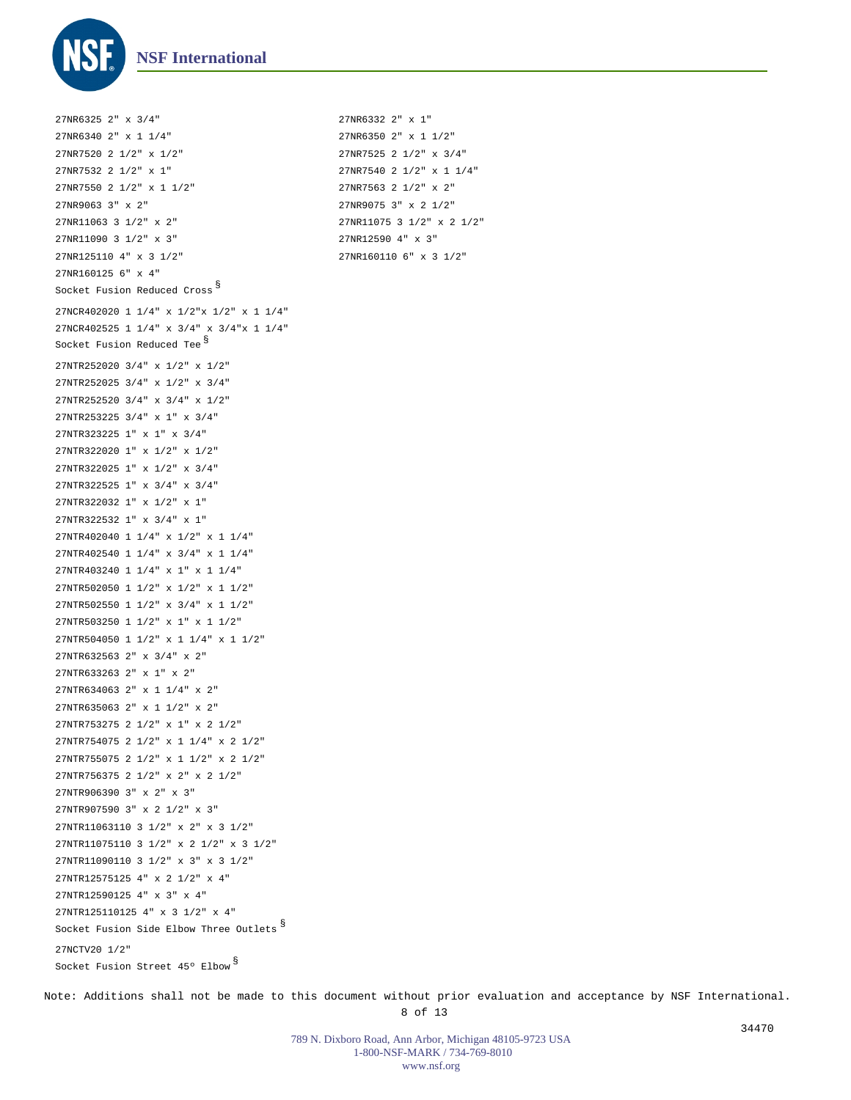

27NCR402020 1 1/4" x 1/2"x 1/2" x 1 1/4" 27NCR402525 1 1/4" x 3/4" x 3/4"x 1 1/4" 27NTR252020 3/4" x 1/2" x 1/2" 27NTR252025 3/4" x 1/2" x 3/4" 27NTR252520 3/4" x 3/4" x 1/2" 27NTR253225 3/4" x 1" x 3/4" 27NTR323225 1" x 1" x 3/4" 27NTR322020 1" x 1/2" x 1/2" 27NTR322025 1" x 1/2" x 3/4" 27NTR322525 1" x 3/4" x 3/4" 27NTR322032 1" x 1/2" x 1" 27NTR322532 1" x 3/4" x 1" 27NTR402040 1 1/4" x 1/2" x 1 1/4" 27NTR402540 1 1/4" x 3/4" x 1 1/4" 27NTR403240 1 1/4" x 1" x 1 1/4" 27NTR502050 1 1/2" x 1/2" x 1 1/2" 27NTR502550 1 1/2" x 3/4" x 1 1/2" 27NTR503250 1 1/2" x 1" x 1 1/2" 27NTR504050 1 1/2" x 1 1/4" x 1 1/2" 27NTR632563 2" x 3/4" x 2" 27NTR633263 2" x 1" x 2" 27NTR634063 2" x 1 1/4" x 2" 27NTR635063 2" x 1 1/2" x 2" 27NTR753275 2 1/2" x 1" x 2 1/2" 27NTR754075 2 1/2" x 1 1/4" x 2 1/2" 27NTR755075 2 1/2" x 1 1/2" x 2 1/2" 27NTR756375 2 1/2" x 2" x 2 1/2" 27NTR906390 3" x 2" x 3" 27NTR907590 3" x 2 1/2" x 3" 27NTR11063110 3 1/2" x 2" x 3 1/2" 27NTR11075110 3 1/2" x 2 1/2" x 3 1/2" 27NTR11090110 3 1/2" x 3" x 3 1/2" 27NTR12575125 4" x 2 1/2" x 4" 27NTR12590125 4" x 3" x 4" 27NTR125110125 4" x 3 1/2" x 4" 27NCTV20 1/2" 27NR6325 2" x 3/4" 27NR6332 2" x 1" 27NR6340 2" x 1 1/4" 27NR6350 2" x 1 1/2" 27NR7520 2 1/2" x 1/2" 27NR7525 2 1/2" x 3/4" 27NR7532 2 1/2" x 1" 27NR7540 2 1/2" x 1 1/4" 27NR7550 2 1/2" x 1 1/2" 27NR7563 2 1/2" x 2" 27NR9063 3" x 2" 27NR9075 3" x 2 1/2" 27NR11063 3 1/2" x 2" 27NR11075 3 1/2" x 2 1/2" 27NR11090 3 1/2" x 3" 27NR12590 4" x 3" 27NR125110 4" x 3 1/2" 27NR160110 6" x 3 1/2" 27NR160125 6" x 4" Socket Fusion Reduced Cross  $^\mathbb{S}$ Socket Fusion Reduced Tee<sup>§</sup> Socket Fusion Side Elbow Three Outlets  $^{\mathbb{S}}$ Socket Fusion Street 45° Elbow  $^{\mathbb{S}}$ 

Note: Additions shall not be made to this document without prior evaluation and acceptance by NSF International. 8 of 13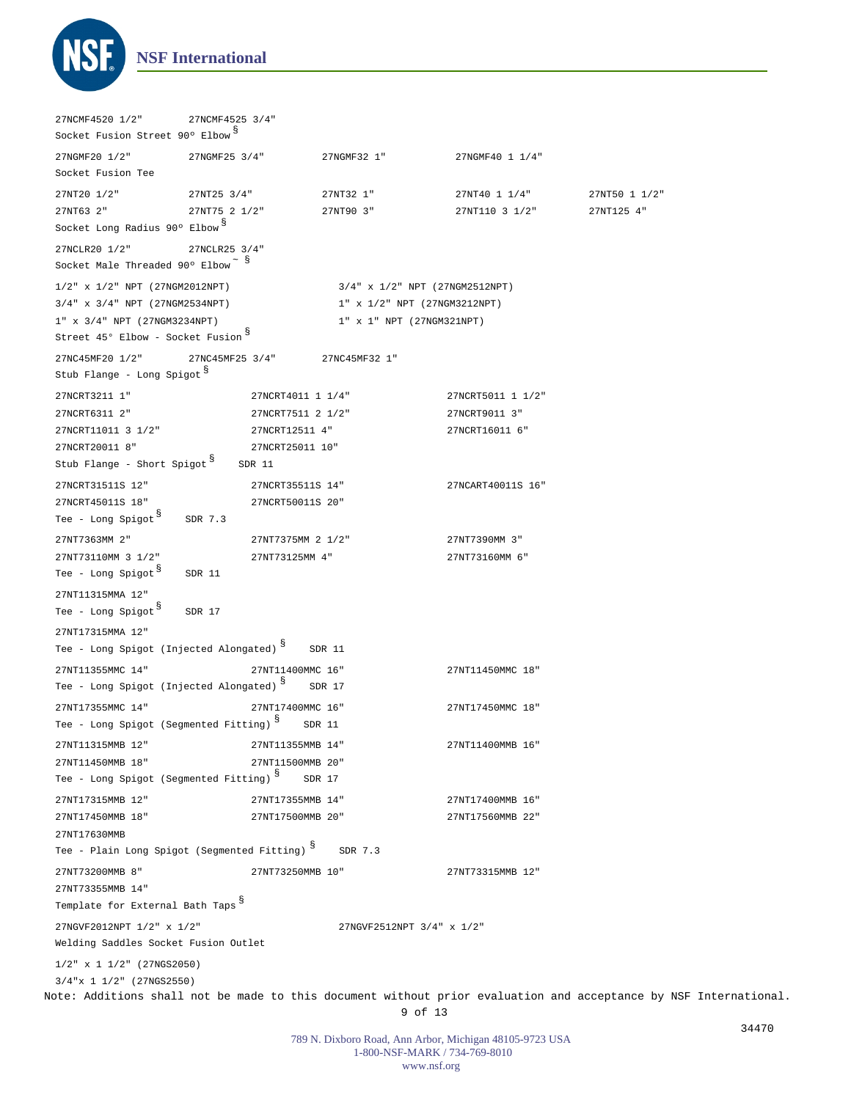

Note: Additions shall not be made to this document without prior evaluation and acceptance by NSF International. 9 of 13 1/2" x 1 1/2" (27NGS2050) 3/4"x 1 1/2" (27NGS2550) 27NCMF4520 1/2" 27NCMF4525 3/4" 27NGMF20 1/2" 27NGMF25 3/4" 27NGMF32 1" 27NGMF40 1 1/4" 27NT20 1/2" 27NT25 3/4" 27NT32 1" 27NT40 1 1/4" 27NT50 1 1/2" 27NT63 2" 27NT75 2 1/2" 27NT90 3" 27NT110 3 1/2" 27NT125 4" 27NCLR20 1/2" 27NCLR25 3/4" 27NC45MF20 1/2" 27NC45MF25 3/4" 27NC45MF32 1" 27NCRT3211 1" 27NCRT4011 1 1/4" 27NCRT5011 1 1/2" 27NCRT6311 2" 27NCRT7511 2 1/2" 27NCRT9011 3" 27NCRT11011 3 1/2" 27NCRT12511 4" 27NCRT16011 6" 27NCRT20011 8" 27NCRT25011 10" 27NCRT31511S 12" 27NCRT35511S 14" 27NCART40011S 16" 27NCRT45011S 18" 27NCRT50011S 20" 27NT7363MM 2" 27NT7375MM 2 1/2" 27NT7390MM 3" 27NT73110MM 3 1/2" 27NT73125MM 4" 27NT73160MM 6" 27NT11315MMA 12" 27NT17315MMA 12" 27NT11355MMC 14" 27NT11400MMC 16" 27NT11450MMC 18" 27NT17355MMC 14" 27NT17400MMC 16" 27NT17450MMC 18" 27NT11315MMB 12" 27NT11355MMB 14" 27NT11400MMB 16" 27NT11450MMB 18" 27NT11500MMB 20" 27NT17315MMB 12" 27NT17355MMB 14" 27NT17400MMB 16" 27NT17450MMB 18" 27NT17500MMB 20" 27NT17560MMB 22" 27NT17630MMB 27NT73200MMB 8" 27NT73250MMB 10" 27NT73315MMB 12" 27NT73355MMB 14" 1/2" x 1/2" NPT (27NGM2012NPT) 3/4" x 1/2" NPT (27NGM2512NPT) 3/4" x 3/4" NPT (27NGM2534NPT) 1" x 1/2" NPT (27NGM3212NPT) 1" x 3/4" NPT (27NGM3234NPT) 1" x 1" NPT (27NGM321NPT) 27NGVF2012NPT 1/2" x 1/2" 27NGVF2512NPT 3/4" x 1/2" Socket Fusion Street 90° Elbow S Socket Fusion Tee Socket Long Radius 90° Elbow <sup>§</sup> Socket Male Threaded 90° Elbow  $\tilde{\text{s}}$ Street 45° Elbow - Socket Fusion  $§$ Stub Flange - Long Spigot § Stub Flange - Short Spigot  $^{\$}$  SDR 11 Tee - Long Spigot<sup>§</sup> SDR 7.3 Tee – Long Spigot <sup>§</sup> SDR 11 Tee – Long Spigot <sup>§</sup> SDR 17 Tee – Long Spigot (Injected Alongated)  $^{\$}$  SDR 11 Tee - Long Spigot (Injected Alongated)  $^{\$}$  SDR 17 Tee – Long Spigot (Segmented Fitting)  $^{\$}$  SDR 11 Tee - Long Spigot (Segmented Fitting)  $^{\$}$  SDR 17 Tee - Plain Long Spigot (Segmented Fitting)  $^{\$}$  SDR 7.3 Template for External Bath Taps § Welding Saddles Socket Fusion Outlet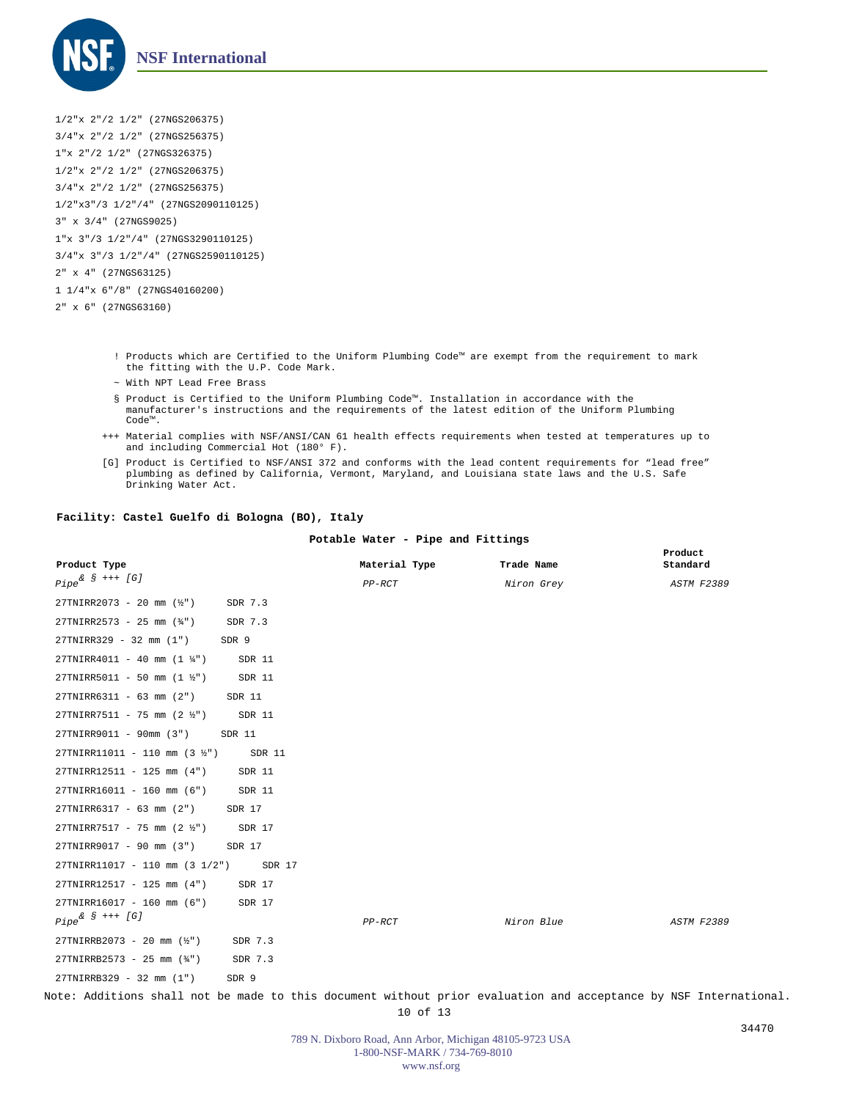

1/2"x 2"/2 1/2" (27NGS206375) 3/4"x 2"/2 1/2" (27NGS256375) 1"x 2"/2 1/2" (27NGS326375) 1/2"x 2"/2 1/2" (27NGS206375) 3/4"x 2"/2 1/2" (27NGS256375) 1/2"x3"/3 1/2"/4" (27NGS2090110125) 3" x 3/4" (27NGS9025) 1"x 3"/3 1/2"/4" (27NGS3290110125) 3/4"x 3"/3 1/2"/4" (27NGS2590110125) 2" x 4" (27NGS63125) 1 1/4"x 6"/8" (27NGS40160200) 2" x 6" (27NGS63160)

- ! Products which are Certified to the Uniform Plumbing Code™ are exempt from the requirement to mark the fitting with the U.P. Code Mark.
- ~ With NPT Lead Free Brass
- § Product is Certified to the Uniform Plumbing Code™. Installation in accordance with the manufacturer's instructions and the requirements of the latest edition of the Uniform Plumbing Code™.
- Material complies with NSF/ANSI/CAN 61 health effects requirements when tested at temperatures up to +++ and including Commercial Hot (180° F).
- [G] Product is Certified to NSF/ANSI 372 and conforms with the lead content requirements for "lead free"<br>plumbing as defined by California, Vermont, Maryland, and Louisiana state laws and the U.S. Safe Drinking Water Act.

## **Facility: Castel Guelfo di Bologna (BO), Italy**

## **Potable Water - Pipe and Fittings**

| Product Type                                                   | Material Type | Trade Name        | Product<br>Standard |
|----------------------------------------------------------------|---------------|-------------------|---------------------|
| $Pipe^{\& S$ +++ [G]                                           | $PP-RCT$      | <i>Niron Grey</i> | <b>ASTM F2389</b>   |
| $27 \text{TNIRR} 2073 - 20 \text{ mm}$ (1/2")<br>SDR 7.3       |               |                   |                     |
| $27 \text{TN}$ IRR2573 - 25 mm $(\frac{3}{4})$<br>SDR 7.3      |               |                   |                     |
| 27TNIRR329 - 32 mm (1")<br>SDR 9                               |               |                   |                     |
| $27$ TNIRR4011 - 40 mm (1 $\frac{1}{4}$ ")<br>SDR 11           |               |                   |                     |
| 27TNIRR5011 - 50 mm $(1 \frac{1}{2})$<br>SDR 11                |               |                   |                     |
| 27TNIRR6311 - 63 mm (2")<br>SDR 11                             |               |                   |                     |
| $27 \text{TN}$ IRR7511 - 75 mm (2 $\frac{1}{2}$ ")<br>SDR 11   |               |                   |                     |
| 27TNIRR9011 - 90mm (3")<br>SDR 11                              |               |                   |                     |
| $27 \text{TN}$ IRR11011 - 110 mm (3 $\frac{1}{2}$ ")<br>SDR 11 |               |                   |                     |
| 27TNIRR12511 - 125 mm (4")<br>SDR 11                           |               |                   |                     |
| 27TNIRR16011 - 160 mm (6")<br>SDR 11                           |               |                   |                     |
| 27TNIRR6317 - 63 mm (2")<br>SDR 17                             |               |                   |                     |
| $27 \text{TN}$ IRR7517 - 75 mm (2 $\frac{1}{2}$ ")<br>SDR 17   |               |                   |                     |
| 27TNIRR9017 - 90 mm (3")<br>SDR 17                             |               |                   |                     |
| 27TNIRR11017 - 110 mm (3 1/2")<br>SDR 17                       |               |                   |                     |
| 27TNIRR12517 - 125 mm (4")<br>SDR 17                           |               |                   |                     |
| 27TNIRR16017 - 160 mm (6")<br>SDR 17                           |               |                   |                     |
| $Pipe^{\& S$ +++ [G]                                           | $PP-RCT$      | Niron Blue        | ASTM F2389          |
| 27TNIRRB2073 - 20 mm (½")<br>SDR 7.3                           |               |                   |                     |
| $27TNIRRB2573 - 25 mm (34")$<br>SDR 7.3                        |               |                   |                     |
| 27TNIRRB329 - 32 mm (1")<br>SDR 9                              |               |                   |                     |

Note: Additions shall not be made to this document without prior evaluation and acceptance by NSF International. 10 of 13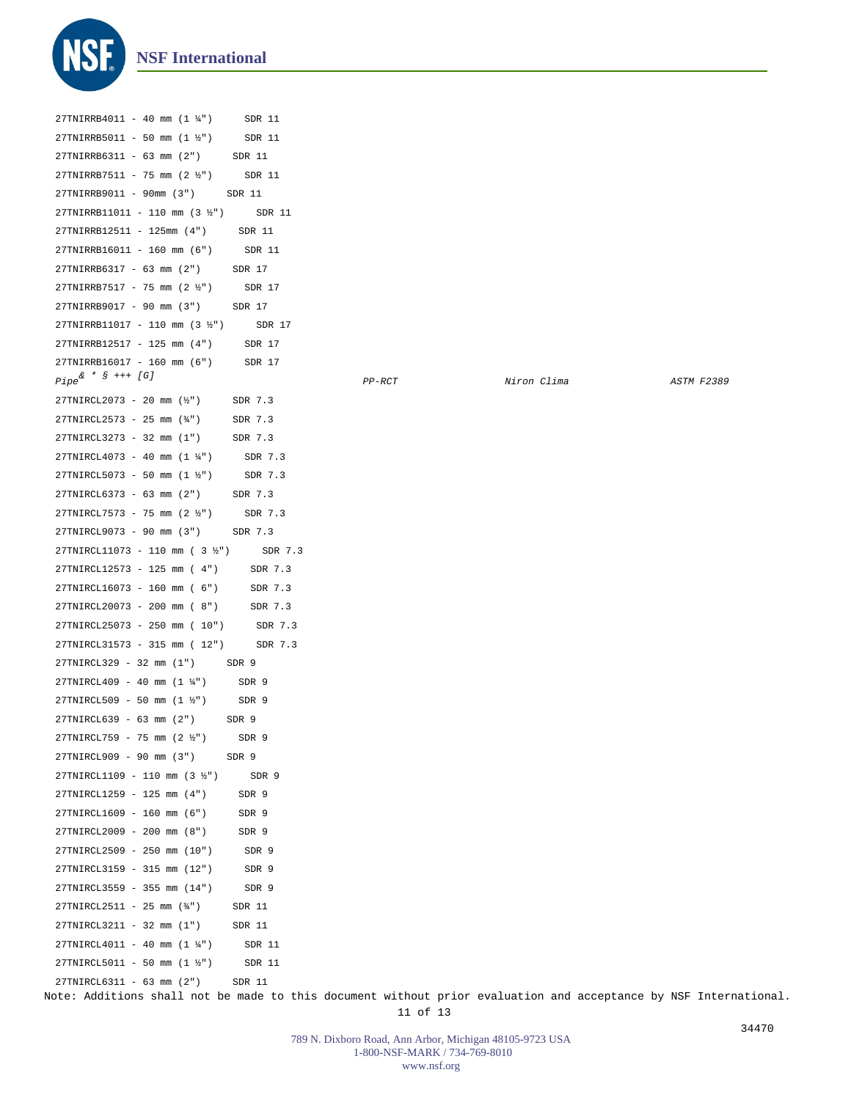

| 27TNIRRB4011 - 40 mm (1 1/4")            | SDR 11  |          |             |                   |
|------------------------------------------|---------|----------|-------------|-------------------|
| 27TNIRRB5011 - 50 mm (1 ½")              | SDR 11  |          |             |                   |
| 27TNIRRB6311 - 63 mm (2")                | SDR 11  |          |             |                   |
| 27TNIRRB7511 - 75 mm (2 ½")              | SDR 11  |          |             |                   |
| 27TNIRRB9011 - 90mm (3")                 | SDR 11  |          |             |                   |
| 27TNIRRB11011 - 110 mm (3 ½")            | SDR 11  |          |             |                   |
| 27TNIRRB12511 - 125mm (4")               | SDR 11  |          |             |                   |
| 27TNIRRB16011 - 160 mm (6")              | SDR 11  |          |             |                   |
| 27TNIRRB6317 - 63 mm (2")                | SDR 17  |          |             |                   |
| $27TNIRRB7517 - 75 mm (2 \frac{1}{2})$   | SDR 17  |          |             |                   |
| 27TNIRRB9017 - 90 mm (3")                | SDR 17  |          |             |                   |
| 27TNIRRB11017 - 110 mm (3 ½")            | SDR 17  |          |             |                   |
| 27TNIRRB12517 - 125 mm (4")              | SDR 17  |          |             |                   |
| 27TNIRRB16017 - 160 mm (6")              | SDR 17  |          |             |                   |
| $Pipe^{\& * S \text{ } ++ \text{ } [G]}$ |         | $PP-RCT$ | Niron Clima | <b>ASTM F2389</b> |
| 27TNIRCL2073 - 20 mm (½")                | SDR 7.3 |          |             |                   |
| 27TNIRCL2573 - 25 mm (34")               | SDR 7.3 |          |             |                   |
| 27TNIRCL3273 - 32 mm (1")                | SDR 7.3 |          |             |                   |
| $27TNIRCL4073 - 40$ mm $(1 \frac{1}{4})$ | SDR 7.3 |          |             |                   |
| 27TNIRCL5073 - 50 mm (1 ½")              | SDR 7.3 |          |             |                   |
| 27TNIRCL6373 - 63 mm (2")                | SDR 7.3 |          |             |                   |
| 27TNIRCL7573 - 75 mm (2 ½")              | SDR 7.3 |          |             |                   |
| 27TNIRCL9073 - 90 mm (3")                | SDR 7.3 |          |             |                   |
| 27TNIRCL11073 - 110 mm (3 ½")            | SDR 7.3 |          |             |                   |
| 27TNIRCL12573 - 125 mm (4")              | SDR 7.3 |          |             |                   |
| 27TNIRCL16073 - 160 mm ( 6")             | SDR 7.3 |          |             |                   |
| 27TNIRCL20073 - 200 mm ( 8")             | SDR 7.3 |          |             |                   |
| 27TNIRCL25073 - 250 mm ( 10")            | SDR 7.3 |          |             |                   |
| 27TNIRCL31573 - 315 mm ( 12")            | SDR 7.3 |          |             |                   |
| 27TNIRCL329 - 32 mm (1")                 | SDR 9   |          |             |                   |
| 27TNIRCL409 - 40 mm (1 ¼")               | SDR 9   |          |             |                   |
| 27TNIRCL509 - 50 mm (1 ½")               | SDR 9   |          |             |                   |
| 27TNIRCL639 - 63 mm (2")                 | SDR 9   |          |             |                   |
| 27TNIRCL759 - 75 mm (2 ½")               | SDR 9   |          |             |                   |
| 27TNIRCL909 - 90 mm (3")                 | SDR 9   |          |             |                   |
| 27TNIRCL1109 - 110 mm (3 ½")             | SDR 9   |          |             |                   |
| 27TNIRCL1259 - 125 mm (4")               | SDR 9   |          |             |                   |
| 27TNIRCL1609 - 160 mm (6")               | SDR 9   |          |             |                   |
| 27TNIRCL2009 - 200 mm (8")               | SDR 9   |          |             |                   |
| 27TNIRCL2509 - 250 mm (10")              | SDR 9   |          |             |                   |
| 27TNIRCL3159 - 315 mm (12")              | SDR 9   |          |             |                   |
| 27TNIRCL3559 - 355 mm (14")              | SDR 9   |          |             |                   |
| 27TNIRCL2511 - 25 mm (¾")                | SDR 11  |          |             |                   |
| 27TNIRCL3211 - 32 mm (1")                | SDR 11  |          |             |                   |
| 27TNIRCL4011 - 40 mm (1 ¼")              | SDR 11  |          |             |                   |
| 27TNIRCL5011 - 50 mm (1 ½")              | SDR 11  |          |             |                   |
| 27TNIRCL6311 - 63 mm (2")                | SDR 11  |          |             |                   |

Note: Additions shall not be made to this document without prior evaluation and acceptance by NSF International. 11 of 13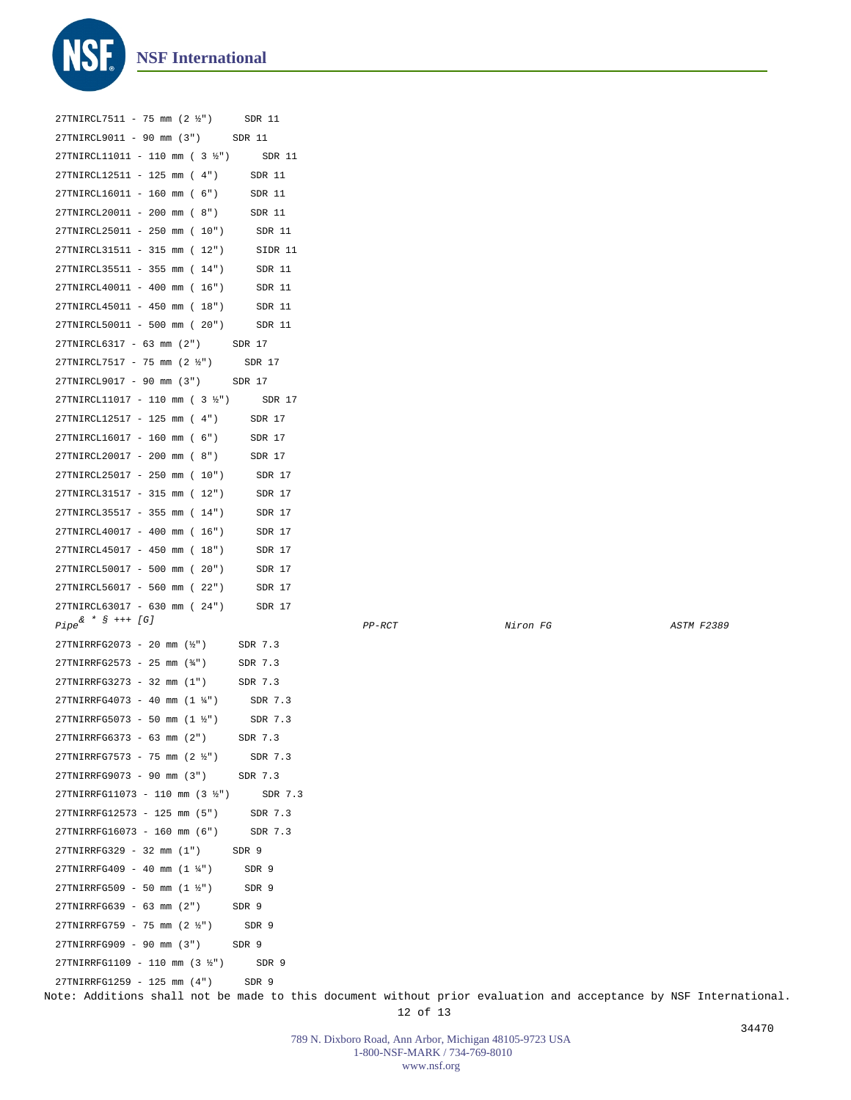

| 27TNIRCL7511 - 75 mm (2 1/2")                               | SDR 11  |          |          |            |
|-------------------------------------------------------------|---------|----------|----------|------------|
| 27TNIRCL9011 - 90 mm (3")                                   | SDR 11  |          |          |            |
| 27TNIRCL11011 - 110 mm ( 3 ½")                              | SDR 11  |          |          |            |
| 27TNIRCL12511 - 125 mm (4")                                 | SDR 11  |          |          |            |
| 27TNIRCL16011 - 160 mm ( 6")                                | SDR 11  |          |          |            |
| 27TNIRCL20011 - 200 mm ( 8")                                | SDR 11  |          |          |            |
| 27TNIRCL25011 - 250 mm ( 10")                               | SDR 11  |          |          |            |
| 27TNIRCL31511 - 315 mm ( 12")                               | SIDR 11 |          |          |            |
| 27TNIRCL35511 - 355 mm ( 14")                               | SDR 11  |          |          |            |
| 27TNIRCL40011 - 400 mm ( 16")                               | SDR 11  |          |          |            |
| 27TNIRCL45011 - 450 mm ( 18")                               | SDR 11  |          |          |            |
| 27TNIRCL50011 - 500 mm ( 20")                               | SDR 11  |          |          |            |
| 27TNIRCL6317 - 63 mm (2")                                   | SDR 17  |          |          |            |
| 27TNIRCL7517 - 75 mm (2 1/2")                               | SDR 17  |          |          |            |
| 27TNIRCL9017 - 90 mm (3")                                   | SDR 17  |          |          |            |
| 27TNIRCL11017 - 110 mm ( 3 1/2")                            | SDR 17  |          |          |            |
| 27TNIRCL12517 - 125 mm (4")                                 | SDR 17  |          |          |            |
| 27TNIRCL16017 - 160 mm ( 6")                                | SDR 17  |          |          |            |
| 27TNIRCL20017 - 200 mm ( 8")                                | SDR 17  |          |          |            |
| 27TNIRCL25017 - 250 mm ( 10")                               | SDR 17  |          |          |            |
| 27TNIRCL31517 - 315 mm ( 12")                               | SDR 17  |          |          |            |
| 27TNIRCL35517 - 355 mm ( 14")                               | SDR 17  |          |          |            |
| 27TNIRCL40017 - 400 mm ( 16")                               | SDR 17  |          |          |            |
| 27TNIRCL45017 - 450 mm ( 18")                               | SDR 17  |          |          |            |
| 27TNIRCL50017 - 500 mm ( 20")                               | SDR 17  |          |          |            |
| 27TNIRCL56017 - 560 mm ( 22")                               | SDR 17  |          |          |            |
| 27TNIRCL63017 - 630 mm ( 24")                               | SDR 17  |          |          |            |
| $Pipe^{\& * S \text{++} (G)}$                               |         | $PP-RCT$ | Niron FG | ASTM F2389 |
| $27 \text{TNIRRFG} 2073 - 20 \text{ mm}$ ( $\frac{1}{2}$ ") | SDR 7.3 |          |          |            |
| 27TNIRRFG2573 - 25 mm (34")                                 | SDR 7.3 |          |          |            |
| 27TNIRRFG3273 - 32 mm (1")                                  | SDR 7.3 |          |          |            |
| 27TNIRRFG4073 - 40 mm (1 1/4")                              | SDR 7.3 |          |          |            |
| $27TNIRRFG5073 - 50 mm (1 \frac{1}{2})$                     | SDR 7.3 |          |          |            |
| 27TNIRRFG6373 - 63 mm (2")                                  | SDR 7.3 |          |          |            |
| 27TNIRRFG7573 - 75 mm (2 1/2")                              | SDR 7.3 |          |          |            |
| 27TNIRRFG9073 - 90 mm (3")                                  | SDR 7.3 |          |          |            |
| 27TNIRRFG11073 - 110 mm (3 1/2")                            | SDR 7.3 |          |          |            |
| 27TNIRRFG12573 - 125 mm (5")                                | SDR 7.3 |          |          |            |
| 27TNIRRFG16073 - 160 mm (6")                                | SDR 7.3 |          |          |            |
| 27TNIRRFG329 - 32 mm (1")                                   | SDR 9   |          |          |            |
| 27TNIRRFG409 - 40 mm $(1 \frac{1}{4})$                      | SDR 9   |          |          |            |
| $27TNIRRFG509 - 50 mm (1 \frac{1}{2})$                      | SDR 9   |          |          |            |
| 27TNIRRFG639 - 63 mm (2")                                   | SDR 9   |          |          |            |
| 27TNIRRFG759 - 75 mm (2 ½")                                 | SDR 9   |          |          |            |
| 27TNIRRFG909 - 90 mm (3")                                   | SDR 9   |          |          |            |
| 27TNIRRFG1109 - 110 mm (3 ½")                               | SDR 9   |          |          |            |
| 27TNIRRFG1259 - 125 mm (4")                                 | SDR 9   |          |          |            |

Note: Additions shall not be made to this document without prior evaluation and acceptance by NSF International.